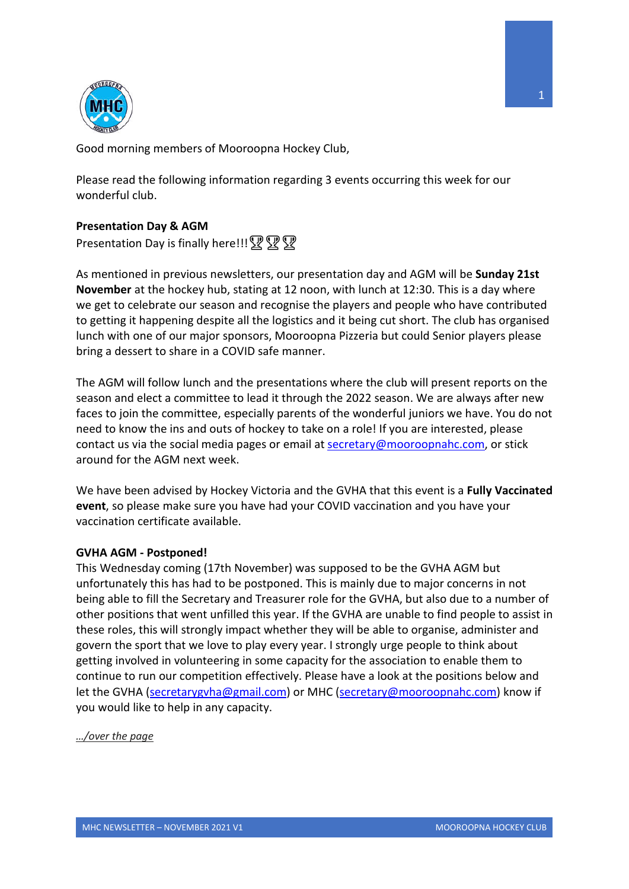

Good morning members of Mooroopna Hockey Club,

Please read the following information regarding 3 events occurring this week for our wonderful club.

# **Presentation Day & AGM**

Presentation Day is finally here!!!  $\mathbb{R} \mathbb{R}$ 

As mentioned in previous newsletters, our presentation day and AGM will be **Sunday 21st November** at the hockey hub, stating at 12 noon, with lunch at 12:30. This is a day where we get to celebrate our season and recognise the players and people who have contributed to getting it happening despite all the logistics and it being cut short. The club has organised lunch with one of our major sponsors, Mooroopna Pizzeria but could Senior players please bring a dessert to share in a COVID safe manner.

The AGM will follow lunch and the presentations where the club will present reports on the season and elect a committee to lead it through the 2022 season. We are always after new faces to join the committee, especially parents of the wonderful juniors we have. You do not need to know the ins and outs of hockey to take on a role! If you are interested, please contact us via the social media pages or email at secretary@mooroopnahc.com, or stick around for the AGM next week.

We have been advised by Hockey Victoria and the GVHA that this event is a **Fully Vaccinated event**, so please make sure you have had your COVID vaccination and you have your vaccination certificate available.

## **GVHA AGM - Postponed!**

This Wednesday coming (17th November) was supposed to be the GVHA AGM but unfortunately this has had to be postponed. This is mainly due to major concerns in not being able to fill the Secretary and Treasurer role for the GVHA, but also due to a number of other positions that went unfilled this year. If the GVHA are unable to find people to assist in these roles, this will strongly impact whether they will be able to organise, administer and govern the sport that we love to play every year. I strongly urge people to think about getting involved in volunteering in some capacity for the association to enable them to continue to run our competition effectively. Please have a look at the positions below and let the GVHA (secretarygvha@gmail.com) or MHC (secretary@mooroopnahc.com) know if you would like to help in any capacity.

*…/over the page*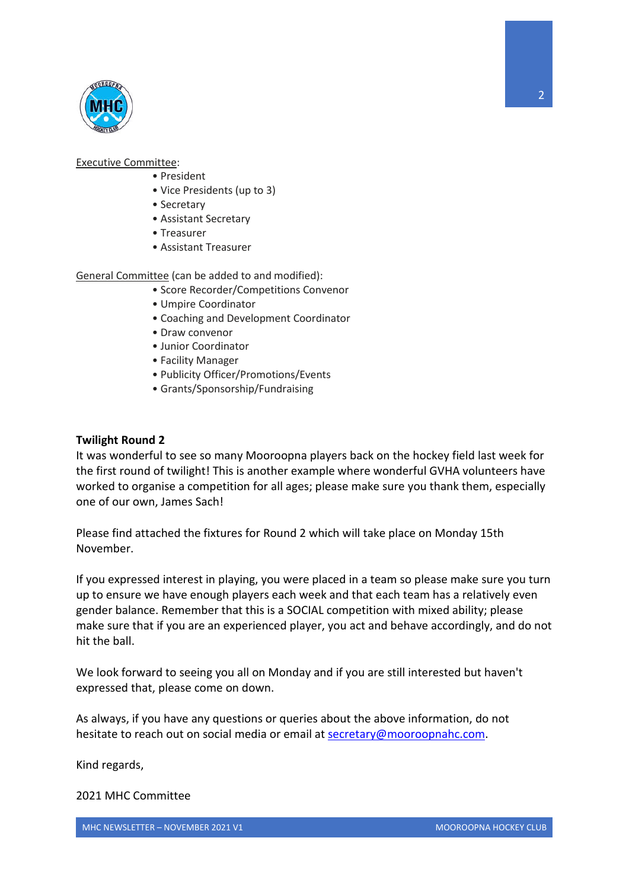

### Executive Committee:

- President
- Vice Presidents (up to 3)
- Secretary
- Assistant Secretary
- Treasurer
- Assistant Treasurer

## General Committee (can be added to and modified):

- Score Recorder/Competitions Convenor
- Umpire Coordinator
- Coaching and Development Coordinator
- Draw convenor
- Junior Coordinator
- Facility Manager
- Publicity Officer/Promotions/Events
- Grants/Sponsorship/Fundraising

## **Twilight Round 2**

It was wonderful to see so many Mooroopna players back on the hockey field last week for the first round of twilight! This is another example where wonderful GVHA volunteers have worked to organise a competition for all ages; please make sure you thank them, especially one of our own, James Sach!

Please find attached the fixtures for Round 2 which will take place on Monday 15th November.

If you expressed interest in playing, you were placed in a team so please make sure you turn up to ensure we have enough players each week and that each team has a relatively even gender balance. Remember that this is a SOCIAL competition with mixed ability; please make sure that if you are an experienced player, you act and behave accordingly, and do not hit the ball.

We look forward to seeing you all on Monday and if you are still interested but haven't expressed that, please come on down.

As always, if you have any questions or queries about the above information, do not hesitate to reach out on social media or email at secretary@mooroopnahc.com.

Kind regards,

## 2021 MHC Committee

2